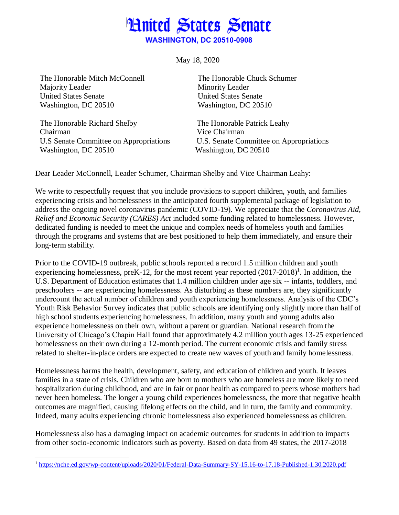# **Hnited States Senate WASHINGTON, DC 20510-0908**

May 18, 2020

The Honorable Mitch McConnell Majority Leader United States Senate Washington, DC 20510

The Honorable Richard Shelby Chairman U.S Senate Committee on Appropriations Washington, DC 20510

The Honorable Chuck Schumer Minority Leader United States Senate Washington, DC 20510

The Honorable Patrick Leahy Vice Chairman U.S. Senate Committee on Appropriations Washington, DC 20510

Dear Leader McConnell, Leader Schumer, Chairman Shelby and Vice Chairman Leahy:

We write to respectfully request that you include provisions to support children, youth, and families experiencing crisis and homelessness in the anticipated fourth supplemental package of legislation to address the ongoing novel coronavirus pandemic (COVID-19). We appreciate that the *Coronavirus Aid, Relief and Economic Security (CARES) Act* included some funding related to homelessness. However, dedicated funding is needed to meet the unique and complex needs of homeless youth and families through the programs and systems that are best positioned to help them immediately, and ensure their long-term stability.

Prior to the COVID-19 outbreak, public schools reported a record 1.5 million children and youth experiencing homelessness, preK-12, for the most recent year reported  $(2017-2018)^1$ . In addition, the U.S. Department of Education estimates that 1.4 million children under age six -- infants, toddlers, and preschoolers -- are experiencing homelessness. As disturbing as these numbers are, they significantly undercount the actual number of children and youth experiencing homelessness. Analysis of the CDC's Youth Risk Behavior Survey indicates that public schools are identifying only slightly more than half of high school students experiencing homelessness. In addition, many youth and young adults also experience homelessness on their own, without a parent or guardian. National research from the University of Chicago's Chapin Hall found that approximately 4.2 million youth ages 13-25 experienced homelessness on their own during a 12-month period. The current economic crisis and family stress related to shelter-in-place orders are expected to create new waves of youth and family homelessness.

Homelessness harms the health, development, safety, and education of children and youth. It leaves families in a state of crisis. Children who are born to mothers who are homeless are more likely to need hospitalization during childhood, and are in fair or poor health as compared to peers whose mothers had never been homeless. The longer a young child experiences homelessness, the more that negative health outcomes are magnified, causing lifelong effects on the child, and in turn, the family and community. Indeed, many adults experiencing chronic homelessness also experienced homelessness as children.

Homelessness also has a damaging impact on academic outcomes for students in addition to impacts from other socio-economic indicators such as poverty. Based on data from 49 states, the 2017-2018

 $\overline{a}$ <sup>1</sup> <https://nche.ed.gov/wp-content/uploads/2020/01/Federal-Data-Summary-SY-15.16-to-17.18-Published-1.30.2020.pdf>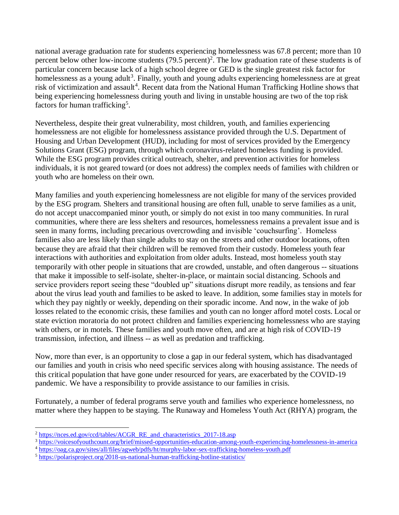national average graduation rate for students experiencing homelessness was 67.8 percent; more than 10 percent below other low-income students (79.5 percent) 2 . The low graduation rate of these students is of particular concern because lack of a high school degree or GED is the single greatest risk factor for homelessness as a young adult<sup>3</sup>. Finally, youth and young adults experiencing homelessness are at great risk of victimization and assault<sup>4</sup>. Recent data from the National Human Trafficking Hotline shows that being experiencing homelessness during youth and living in unstable housing are two of the top risk factors for human trafficking<sup>5</sup>.

Nevertheless, despite their great vulnerability, most children, youth, and families experiencing homelessness are not eligible for homelessness assistance provided through the U.S. Department of Housing and Urban Development (HUD), including for most of services provided by the Emergency Solutions Grant (ESG) program, through which coronavirus-related homeless funding is provided. While the ESG program provides critical outreach, shelter, and prevention activities for homeless individuals, it is not geared toward (or does not address) the complex needs of families with children or youth who are homeless on their own.

Many families and youth experiencing homelessness are not eligible for many of the services provided by the ESG program. Shelters and transitional housing are often full, unable to serve families as a unit, do not accept unaccompanied minor youth, or simply do not exist in too many communities. In rural communities, where there are less shelters and resources, homelessness remains a prevalent issue and is seen in many forms, including precarious overcrowding and invisible 'couchsurfing'. Homeless families also are less likely than single adults to stay on the streets and other outdoor locations, often because they are afraid that their children will be removed from their custody. Homeless youth fear interactions with authorities and exploitation from older adults. Instead, most homeless youth stay temporarily with other people in situations that are crowded, unstable, and often dangerous -- situations that make it impossible to self-isolate, shelter-in-place, or maintain social distancing. Schools and service providers report seeing these "doubled up" situations disrupt more readily, as tensions and fear about the virus lead youth and families to be asked to leave. In addition, some families stay in motels for which they pay nightly or weekly, depending on their sporadic income. And now, in the wake of job losses related to the economic crisis, these families and youth can no longer afford motel costs. Local or state eviction moratoria do not protect children and families experiencing homelessness who are staying with others, or in motels. These families and youth move often, and are at high risk of COVID-19 transmission, infection, and illness -- as well as predation and trafficking.

Now, more than ever, is an opportunity to close a gap in our federal system, which has disadvantaged our families and youth in crisis who need specific services along with housing assistance. The needs of this critical population that have gone under resourced for years, are exacerbated by the COVID-19 pandemic. We have a responsibility to provide assistance to our families in crisis.

Fortunately, a number of federal programs serve youth and families who experience homelessness, no matter where they happen to be staying. The Runaway and Homeless Youth Act (RHYA) program, the

 $\overline{a}$ 

<sup>&</sup>lt;sup>2</sup> [https://nces.ed.gov/ccd/tables/ACGR\\_RE\\_and\\_characteristics\\_2017-18.asp](https://nces.ed.gov/ccd/tables/ACGR_RE_and_characteristics_2017-18.asp)

<sup>3</sup> <https://voicesofyouthcount.org/brief/missed-opportunities-education-among-youth-experiencing-homelessness-in-america>

<sup>4</sup> <https://oag.ca.gov/sites/all/files/agweb/pdfs/ht/murphy-labor-sex-trafficking-homeless-youth.pdf>

<sup>5</sup> <https://polarisproject.org/2018-us-national-human-trafficking-hotline-statistics/>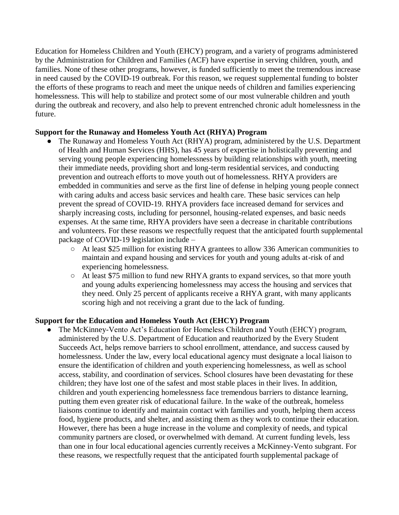Education for Homeless Children and Youth (EHCY) program, and a variety of programs administered by the Administration for Children and Families (ACF) have expertise in serving children, youth, and families. None of these other programs, however, is funded sufficiently to meet the tremendous increase in need caused by the COVID-19 outbreak. For this reason, we request supplemental funding to bolster the efforts of these programs to reach and meet the unique needs of children and families experiencing homelessness. This will help to stabilize and protect some of our most vulnerable children and youth during the outbreak and recovery, and also help to prevent entrenched chronic adult homelessness in the future.

## **Support for the Runaway and Homeless Youth Act (RHYA) Program**

- The Runaway and Homeless Youth Act (RHYA) program, administered by the U.S. Department of Health and Human Services (HHS), has 45 years of expertise in holistically preventing and serving young people experiencing homelessness by building relationships with youth, meeting their immediate needs, providing short and long-term residential services, and conducting prevention and outreach efforts to move youth out of homelessness. RHYA providers are embedded in communities and serve as the first line of defense in helping young people connect with caring adults and access basic services and health care. These basic services can help prevent the spread of COVID-19. RHYA providers face increased demand for services and sharply increasing costs, including for personnel, housing-related expenses, and basic needs expenses. At the same time, RHYA providers have seen a decrease in charitable contributions and volunteers. For these reasons we respectfully request that the anticipated fourth supplemental package of COVID-19 legislation include –
	- At least \$25 million for existing RHYA grantees to allow 336 American communities to maintain and expand housing and services for youth and young adults at-risk of and experiencing homelessness.
	- At least \$75 million to fund new RHYA grants to expand services, so that more youth and young adults experiencing homelessness may access the housing and services that they need. Only 25 percent of applicants receive a RHYA grant, with many applicants scoring high and not receiving a grant due to the lack of funding.

#### **Support for the Education and Homeless Youth Act (EHCY) Program**

The McKinney-Vento Act's Education for Homeless Children and Youth (EHCY) program, administered by the U.S. Department of Education and reauthorized by the Every Student Succeeds Act, helps remove barriers to school enrollment, attendance, and success caused by homelessness. Under the law, every local educational agency must designate a local liaison to ensure the identification of children and youth experiencing homelessness, as well as school access, stability, and coordination of services. School closures have been devastating for these children; they have lost one of the safest and most stable places in their lives. In addition, children and youth experiencing homelessness face tremendous barriers to distance learning, putting them even greater risk of educational failure. In the wake of the outbreak, homeless liaisons continue to identify and maintain contact with families and youth, helping them access food, hygiene products, and shelter, and assisting them as they work to continue their education. However, there has been a huge increase in the volume and complexity of needs, and typical community partners are closed, or overwhelmed with demand. At current funding levels, less than one in four local educational agencies currently receives a McKinney-Vento subgrant. For these reasons, we respectfully request that the anticipated fourth supplemental package of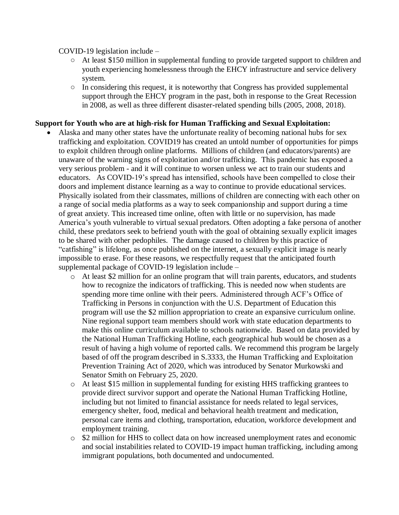COVID-19 legislation include –

- At least \$150 million in supplemental funding to provide targeted support to children and youth experiencing homelessness through the EHCY infrastructure and service delivery system.
- $\circ$  In considering this request, it is noteworthy that Congress has provided supplemental support through the EHCY program in the past, both in response to the Great Recession in 2008, as well as three different disaster-related spending bills (2005, 2008, 2018).

### **Support for Youth who are at high-risk for Human Trafficking and Sexual Exploitation:**

- Alaska and many other states have the unfortunate reality of becoming national hubs for sex trafficking and exploitation. COVID19 has created an untold number of opportunities for pimps to exploit children through online platforms. Millions of children (and educators/parents) are unaware of the warning signs of exploitation and/or trafficking. This pandemic has exposed a very serious problem - and it will continue to worsen unless we act to train our students and educators. As COVID-19's spread has intensified, schools have been compelled to close their doors and implement distance learning as a way to continue to provide educational services. Physically isolated from their classmates, millions of children are connecting with each other on a range of social media platforms as a way to seek companionship and support during a time of great anxiety. This increased time online, often with little or no supervision, has made America's youth vulnerable to virtual sexual predators. Often adopting a fake persona of another child, these predators seek to befriend youth with the goal of obtaining sexually explicit images to be shared with other pedophiles. The damage caused to children by this practice of "catfishing" is lifelong, as once published on the internet, a sexually explicit image is nearly impossible to erase. For these reasons, we respectfully request that the anticipated fourth supplemental package of COVID-19 legislation include –
	- $\circ$  At least \$2 million for an online program that will train parents, educators, and students how to recognize the indicators of trafficking. This is needed now when students are spending more time online with their peers. Administered through ACF's Office of Trafficking in Persons in conjunction with the U.S. Department of Education this program will use the \$2 million appropriation to create an expansive curriculum online. Nine regional support team members should work with state education departments to make this online curriculum available to schools nationwide. Based on data provided by the National Human Trafficking Hotline, each geographical hub would be chosen as a result of having a high volume of reported calls. We recommend this program be largely based of off the program described in S.3333, the Human Trafficking and Exploitation Prevention Training Act of 2020, which was introduced by Senator Murkowski and Senator Smith on February 25, 2020.
	- o At least \$15 million in supplemental funding for existing HHS trafficking grantees to provide direct survivor support and operate the National Human Trafficking Hotline, including but not limited to financial assistance for needs related to legal services, emergency shelter, food, medical and behavioral health treatment and medication, personal care items and clothing, transportation, education, workforce development and employment training.
	- o \$2 million for HHS to collect data on how increased unemployment rates and economic and social instabilities related to COVID-19 impact human trafficking, including among immigrant populations, both documented and undocumented.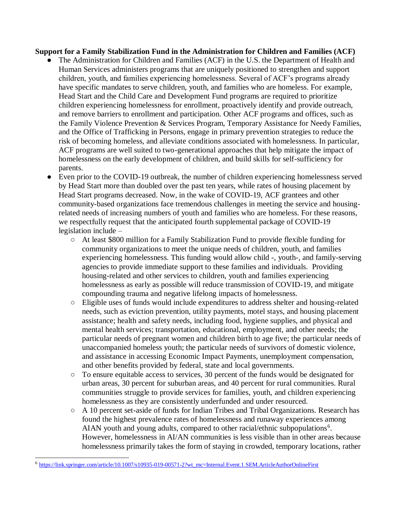#### **Support for a Family Stabilization Fund in the Administration for Children and Families (ACF)**

- The Administration for Children and Families (ACF) in the U.S. the Department of Health and Human Services administers programs that are uniquely positioned to strengthen and support children, youth, and families experiencing homelessness. Several of ACF's programs already have specific mandates to serve children, youth, and families who are homeless. For example, Head Start and the Child Care and Development Fund programs are required to prioritize children experiencing homelessness for enrollment, proactively identify and provide outreach, and remove barriers to enrollment and participation. Other ACF programs and offices, such as the Family Violence Prevention & Services Program, Temporary Assistance for Needy Families, and the Office of Trafficking in Persons, engage in primary prevention strategies to reduce the risk of becoming homeless, and alleviate conditions associated with homelessness. In particular, ACF programs are well suited to two-generational approaches that help mitigate the impact of homelessness on the early development of children, and build skills for self-sufficiency for parents.
- Even prior to the COVID-19 outbreak, the number of children experiencing homelessness served by Head Start more than doubled over the past ten years, while rates of housing placement by Head Start programs decreased. Now, in the wake of COVID-19, ACF grantees and other community-based organizations face tremendous challenges in meeting the service and housingrelated needs of increasing numbers of youth and families who are homeless. For these reasons, we respectfully request that the anticipated fourth supplemental package of COVID-19 legislation include –
	- At least \$800 million for a Family Stabilization Fund to provide flexible funding for community organizations to meet the unique needs of children, youth, and families experiencing homelessness. This funding would allow child -, youth-, and family-serving agencies to provide immediate support to these families and individuals. Providing housing-related and other services to children, youth and families experiencing homelessness as early as possible will reduce transmission of COVID-19, and mitigate compounding trauma and negative lifelong impacts of homelessness.
	- Eligible uses of funds would include expenditures to address shelter and housing-related needs, such as eviction prevention, utility payments, motel stays, and housing placement assistance; health and safety needs, including food, hygiene supplies, and physical and mental health services; transportation, educational, employment, and other needs; the particular needs of pregnant women and children birth to age five; the particular needs of unaccompanied homeless youth; the particular needs of survivors of domestic violence, and assistance in accessing Economic Impact Payments, unemployment compensation, and other benefits provided by federal, state and local governments.
	- To ensure equitable access to services, 30 percent of the funds would be designated for urban areas, 30 percent for suburban areas, and 40 percent for rural communities. Rural communities struggle to provide services for families, youth, and children experiencing homelessness as they are consistently underfunded and under resourced.
	- A 10 percent set-aside of funds for Indian Tribes and Tribal Organizations. Research has found the highest prevalence rates of homelessness and runaway experiences among AIAN youth and young adults, compared to other racial/ethnic subpopulations<sup>6</sup>. However, homelessness in AI/AN communities is less visible than in other areas because homelessness primarily takes the form of staying in crowded, temporary locations, rather

 $\overline{a}$ 

<sup>6</sup> [https://link.springer.com/article/10.1007/s10935-019-00571-2?wt\\_mc=Internal.Event.1.SEM.ArticleAuthorOnlineFirst](https://link.springer.com/article/10.1007/s10935-019-00571-2?wt_mc=Internal.Event.1.SEM.ArticleAuthorOnlineFirst)